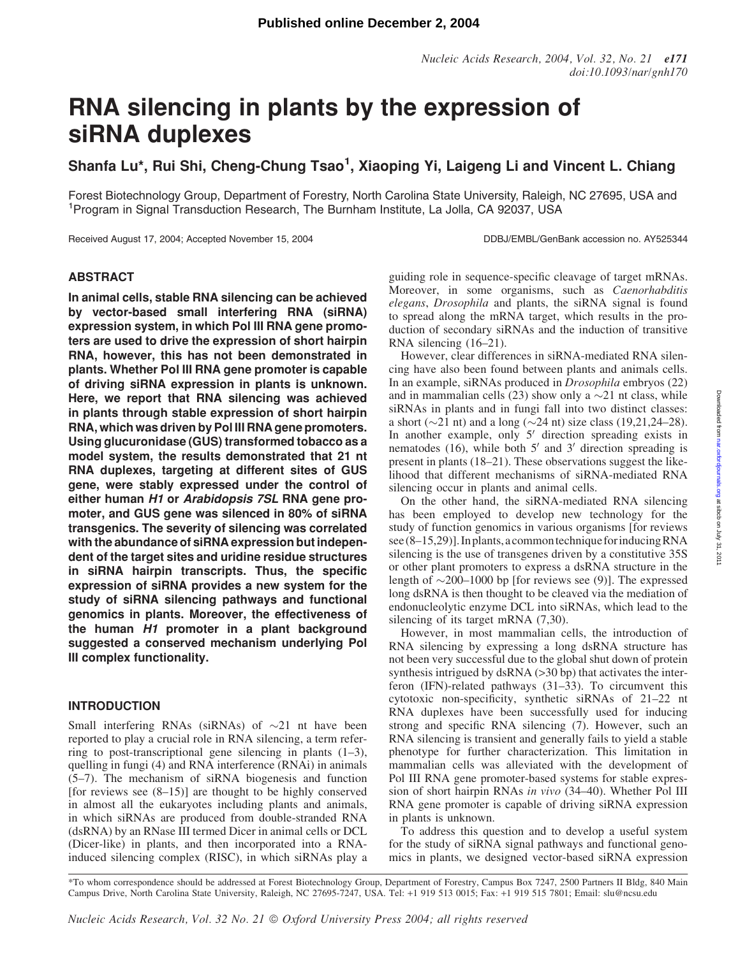# RNA silencing in plants by the expression of siRNA duplexes

Shanfa Lu\*, Rui Shi, Cheng-Chung Tsao<sup>1</sup>, Xiaoping Yi, Laigeng Li and Vincent L. Chiang

Forest Biotechnology Group, Department of Forestry, North Carolina State University, Raleigh, NC 27695, USA and <sup>1</sup>Program in Signal Transduction Research, The Burnham Institute, La Jolla, CA 92037, USA

Received August 17, 2004; Accepted November 15, 2004 DDBJ/EMBL/GenBank accession no. AY525344

# ABSTRACT

In animal cells, stable RNA silencing can be achieved by vector-based small interfering RNA (siRNA) expression system, in which Pol III RNA gene promoters are used to drive the expression of short hairpin RNA, however, this has not been demonstrated in plants. Whether Pol III RNA gene promoter is capable of driving siRNA expression in plants is unknown. Here, we report that RNA silencing was achieved in plants through stable expression of short hairpin RNA, which was driven by Pol III RNA gene promoters. Using glucuronidase (GUS) transformed tobacco as a model system, the results demonstrated that 21 nt RNA duplexes, targeting at different sites of GUS gene, were stably expressed under the control of either human H1 or Arabidopsis 7SL RNA gene promoter, and GUS gene was silenced in 80% of siRNA transgenics. The severity of silencing was correlated with the abundance of siRNA expression but independent of the target sites and uridine residue structures in siRNA hairpin transcripts. Thus, the specific expression of siRNA provides a new system for the study of siRNA silencing pathways and functional genomics in plants. Moreover, the effectiveness of the human H1 promoter in a plant background suggested a conserved mechanism underlying Pol III complex functionality.

# INTRODUCTION

Small interfering RNAs (siRNAs) of  $\sim$ 21 nt have been reported to play a crucial role in RNA silencing, a term referring to post-transcriptional gene silencing in plants (1–3), quelling in fungi (4) and RNA interference (RNAi) in animals (5–7). The mechanism of siRNA biogenesis and function [for reviews see  $(8-15)$ ] are thought to be highly conserved in almost all the eukaryotes including plants and animals, in which siRNAs are produced from double-stranded RNA (dsRNA) by an RNase III termed Dicer in animal cells or DCL (Dicer-like) in plants, and then incorporated into a RNAinduced silencing complex (RISC), in which siRNAs play a guiding role in sequence-specific cleavage of target mRNAs. Moreover, in some organisms, such as *Caenorhabditis* elegans, Drosophila and plants, the siRNA signal is found to spread along the mRNA target, which results in the production of secondary siRNAs and the induction of transitive RNA silencing (16–21).

However, clear differences in siRNA-mediated RNA silencing have also been found between plants and animals cells. In an example, siRNAs produced in Drosophila embryos (22) and in mammalian cells (23) show only a  $\sim$ 21 nt class, while siRNAs in plants and in fungi fall into two distinct classes: a short ( $\sim$ 21 nt) and a long ( $\sim$ 24 nt) size class (19,21,24–28). In another example, only  $5'$  direction spreading exists in nematodes (16), while both  $5'$  and  $3'$  direction spreading is present in plants (18–21). These observations suggest the likelihood that different mechanisms of siRNA-mediated RNA silencing occur in plants and animal cells.

On the other hand, the siRNA-mediated RNA silencing has been employed to develop new technology for the study of function genomics in various organisms [for reviews see (8–15,29)]. In plants, a common technique for inducing RNA silencing is the use of transgenes driven by a constitutive 35S or other plant promoters to express a dsRNA structure in the length of  $\sim$ 200–1000 bp [for reviews see (9)]. The expressed long dsRNA is then thought to be cleaved via the mediation of endonucleolytic enzyme DCL into siRNAs, which lead to the silencing of its target mRNA (7,30).

However, in most mammalian cells, the introduction of RNA silencing by expressing a long dsRNA structure has not been very successful due to the global shut down of protein synthesis intrigued by  $\text{dsRNA}$  ( $>30$  bp) that activates the interferon (IFN)-related pathways (31–33). To circumvent this cytotoxic non-specificity, synthetic siRNAs of 21–22 nt RNA duplexes have been successfully used for inducing strong and specific RNA silencing (7). However, such an RNA silencing is transient and generally fails to yield a stable phenotype for further characterization. This limitation in mammalian cells was alleviated with the development of Pol III RNA gene promoter-based systems for stable expression of short hairpin RNAs in vivo (34–40). Whether Pol III RNA gene promoter is capable of driving siRNA expression in plants is unknown.

To address this question and to develop a useful system for the study of siRNA signal pathways and functional genomics in plants, we designed vector-based siRNA expression

\*To whom correspondence should be addressed at Forest Biotechnology Group, Department of Forestry, Campus Box 7247, 2500 Partners II Bldg, 840 Main Campus Drive, North Carolina State University, Raleigh, NC 27695-7247, USA. Tel: +1 919 513 0015; Fax: +1 919 515 7801; Email: slu@ncsu.edu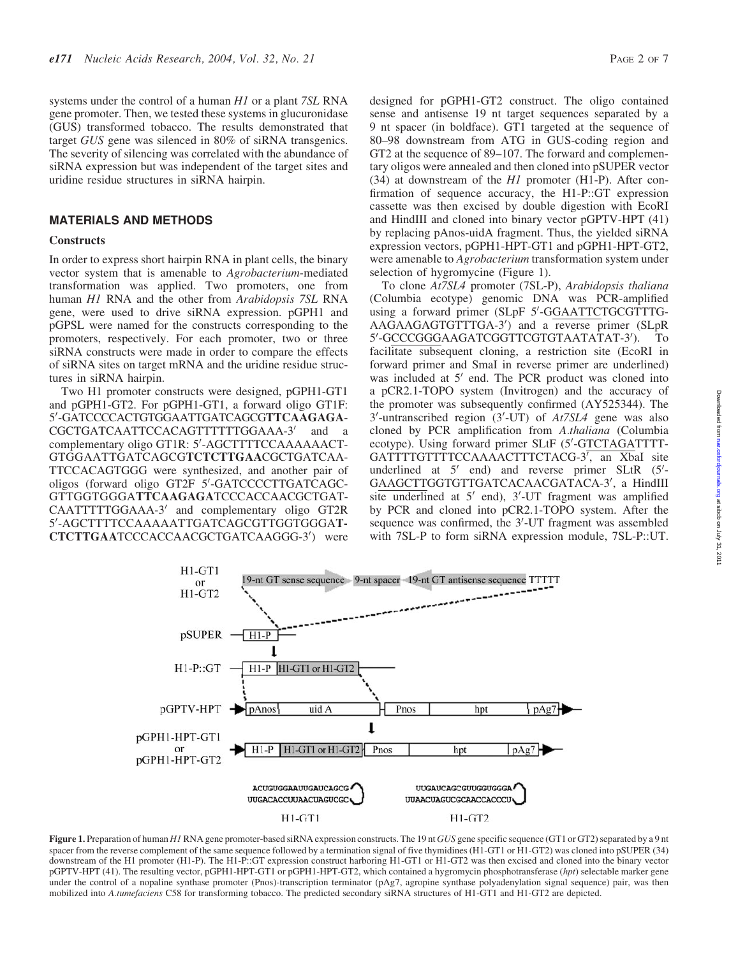systems under the control of a human H1 or a plant 7SL RNA gene promoter. Then, we tested these systems in glucuronidase (GUS) transformed tobacco. The results demonstrated that target GUS gene was silenced in 80% of siRNA transgenics. The severity of silencing was correlated with the abundance of siRNA expression but was independent of the target sites and uridine residue structures in siRNA hairpin.

# MATERIALS AND METHODS

#### **Constructs**

In order to express short hairpin RNA in plant cells, the binary vector system that is amenable to Agrobacterium-mediated transformation was applied. Two promoters, one from human H1 RNA and the other from Arabidopsis 7SL RNA gene, were used to drive siRNA expression. pGPH1 and pGPSL were named for the constructs corresponding to the promoters, respectively. For each promoter, two or three siRNA constructs were made in order to compare the effects of siRNA sites on target mRNA and the uridine residue structures in siRNA hairpin.

Two H1 promoter constructs were designed, pGPH1-GT1 and pGPH1-GT2. For pGPH1-GT1, a forward oligo GT1F: 5'-GATCCCCACTGTGGAATTGATCAGCGTTCAAGAGA-CGCTGATCAATTCCACAGTTTTTTGGAAA-3' and a complementary oligo GT1R: 5'-AGCTTTTCCAAAAAACT-GTGGAATTGATCAGCGTCTCTTGAACGCTGATCAA-TTCCACAGTGGG were synthesized, and another pair of oligos (forward oligo GT2F 5'-GATCCCCTTGATCAGC-GTTGGTGGGATTCAAGAGATCCCACCAACGCTGAT-CAATTTTTGGAAA-3' and complementary oligo GT2R 5'-AGCTTTTCCAAAAATTGATCAGCGTTGGTGGGAT-CTCTTGAATCCCACCAACGCTGATCAAGGG-3') were

designed for pGPH1-GT2 construct. The oligo contained sense and antisense 19 nt target sequences separated by a 9 nt spacer (in boldface). GT1 targeted at the sequence of 80–98 downstream from ATG in GUS-coding region and GT2 at the sequence of 89–107. The forward and complementary oligos were annealed and then cloned into pSUPER vector (34) at downstream of the  $H1$  promoter (H1-P). After confirmation of sequence accuracy, the H1-P::GT expression cassette was then excised by double digestion with EcoRI and HindIII and cloned into binary vector pGPTV-HPT (41) by replacing pAnos-uidA fragment. Thus, the yielded siRNA expression vectors, pGPH1-HPT-GT1 and pGPH1-HPT-GT2, were amenable to Agrobacterium transformation system under selection of hygromycine (Figure 1).

To clone At7SL4 promoter (7SL-P), Arabidopsis thaliana (Columbia ecotype) genomic DNA was PCR-amplified using a forward primer (SLpF 5'-GGAATTCTGCGTTTG-AAGAAGAGTGTTTGA-3') and a reverse primer (SLpR 5'-GCCCGGGAAGATCGGTTCGTGTAATATAT-3' ). To facilitate subsequent cloning, a restriction site (EcoRI in forward primer and SmaI in reverse primer are underlined) was included at  $5'$  end. The PCR product was cloned into a pCR2.1-TOPO system (Invitrogen) and the accuracy of the promoter was subsequently confirmed (AY525344). The 3'-untranscribed region (3'-UT) of At7SL4 gene was also cloned by PCR amplification from A.thaliana (Columbia ecotype). Using forward primer SLtF (5'-GTCTAGATTTT-GATTTTGTTTTCCAAAACTTTCTACG-3<sup>7</sup>, an XbaI site underlined at  $5'$  end) and reverse primer SLtR  $(5'$ -GAAGCTTGGTGTTGATCACAACGATACA-3', a HindIII site underlined at  $5'$  end),  $3'$ -UT fragment was amplified by PCR and cloned into pCR2.1-TOPO system. After the sequence was confirmed, the 3'-UT fragment was assembled with 7SL-P to form siRNA expression module, 7SL-P::UT.



Figure 1. Preparation of human H1 RNA gene promoter-based siRNA expression constructs. The 19 nt GUS gene specific sequence (GT1 or GT2) separated by a 9 nt spacer from the reverse complement of the same sequence followed by a termination signal of five thymidines (H1-GT1 or H1-GT2) was cloned into pSUPER (34) downstream of the H1 promoter (H1-P). The H1-P::GT expression construct harboring H1-GT1 or H1-GT2 was then excised and cloned into the binary vector pGPTV-HPT (41). The resulting vector, pGPH1-HPT-GT1 or pGPH1-HPT-GT2, which contained a hygromycin phosphotransferase (hpt) selectable marker gene under the control of a nopaline synthase promoter (Pnos)-transcription terminator (pAg7, agropine synthase polyadenylation signal sequence) pair, was then mobilized into A.tumefaciens C58 for transforming tobacco. The predicted secondary siRNA structures of H1-GT1 and H1-GT2 are depicted.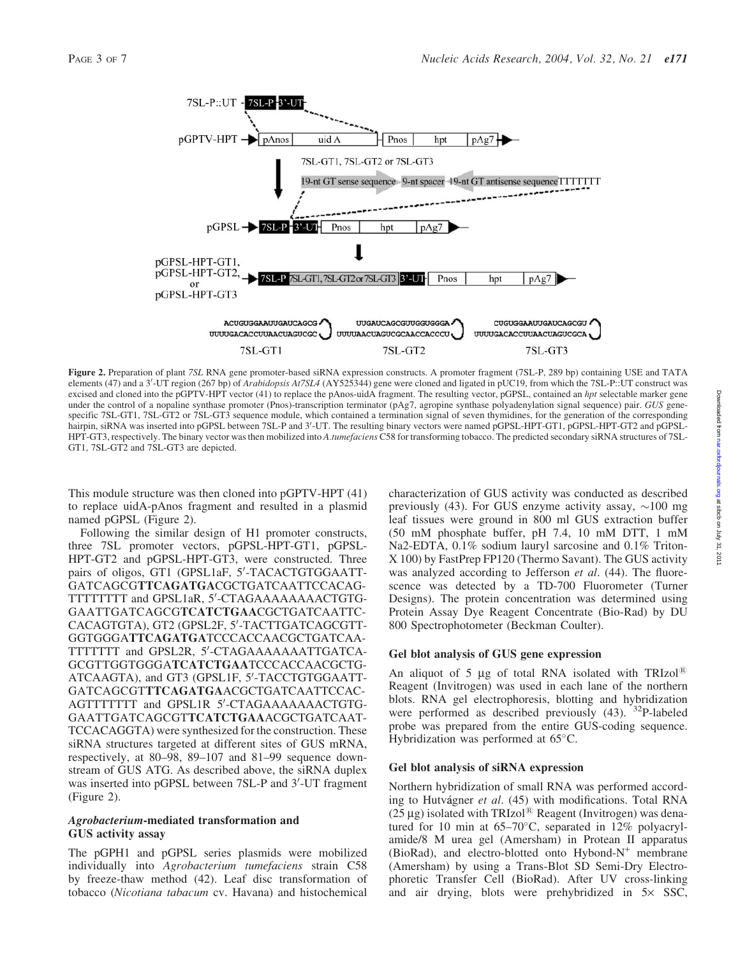

Figure 2. Preparation of plant 7SL RNA gene promoter-based siRNA expression constructs. A promoter fragment (7SL-P, 289 bp) containing USE and TATA elements (47) and a 3'-UT region (267 bp) of Arabidopsis At7SL4 (AY525344) gene were cloned and ligated in pUC19, from which the 7SL-P::UT construct was excised and cloned into the pGPTV-HPT vector (41) to replace the pAnos-uidA fragment. The resulting vector, pGPSL, contained an hpt selectable marker gene under the control of a nopaline synthase promoter (Pnos)-transcription terminator (pAg7, agropine synthase polyadenylation signal sequence) pair. GUS genespecific 7SL-GT1, 7SL-GT2 or 7SL-GT3 sequence module, which contained a termination signal of seven thymidines, for the generation of the corresponding hairpin, siRNA was inserted into pGPSL between 7SL-P and 3'-UT. The resulting binary vectors were named pGPSL-HPT-GT1, pGPSL-HPT-GT2 and pGPSL-HPT-GT3, respectively. The binary vector was then mobilized into A.tumefaciens C58 for transforming tobacco. The predicted secondary siRNA structures of 7SL-GT1, 7SL-GT2 and 7SL-GT3 are depicted.

This module structure was then cloned into pGPTV-HPT (41) to replace uidA-pAnos fragment and resulted in a plasmid named pGPSL (Figure 2).

Following the similar design of H1 promoter constructs, three 7SL promoter vectors, pGPSL-HPT-GT1, pGPSL-HPT-GT2 and pGPSL-HPT-GT3, were constructed. Three pairs of oligos, GT1 (GPSL1aF, 5'-TACACTGTGGAATT-GATCAGCGTTCAGATGACGCTGATCAATTCCACAG-TTTTTTTTT and GPSL1aR, 5'-CTAGAAAAAAAACTGTG-GAATTGATCAGCGTCATCTGAACGCTGATCAATTC-CACAGTGTA), GT2 (GPSL2F, 5'-TACTTGATCAGCGTT-GGTGGGATTCAGATGATCCCACCAACGCTGATCAA-TTTTTTT and GPSL2R, 5'-CTAGAAAAAAATTGATCA-GCGTTGGTGGGATCATCTGAATCCCACCAACGCTG-ATCAAGTA), and GT3 (GPSL1F, 5'-TACCTGTGGAATT-GATCAGCGTTTCAGATGAACGCTGATCAATTCCAC-AGTTTTTTTT and GPSL1R 5'-CTAGAAAAAAACTGTG-GAATTGATCAGCGTTCATCTGAAACGCTGATCAAT-TCCACAGGTA) were synthesized for the construction. These siRNA structures targeted at different sites of GUS mRNA, respectively, at 80–98, 89–107 and 81–99 sequence downstream of GUS ATG. As described above, the siRNA duplex was inserted into pGPSL between 7SL-P and 3'-UT fragment (Figure 2).

# Agrobacterium-mediated transformation and GUS activity assay

The pGPH1 and pGPSL series plasmids were mobilized individually into Agrobacterium tumefaciens strain C58 by freeze-thaw method (42). Leaf disc transformation of tobacco (Nicotiana tabacum cv. Havana) and histochemical characterization of GUS activity was conducted as described previously (43). For GUS enzyme activity assay,  $\sim$ 100 mg leaf tissues were ground in 800 ml GUS extraction buffer (50 mM phosphate buffer, pH 7.4, 10 mM DTT, 1 mM Na2-EDTA, 0.1% sodium lauryl sarcosine and 0.1% Triton-X 100) by FastPrep FP120 (Thermo Savant). The GUS activity was analyzed according to Jefferson *et al.* (44). The fluorescence was detected by a TD-700 Fluorometer (Turner Designs). The protein concentration was determined using Protein Assay Dye Reagent Concentrate (Bio-Rad) by DU 800 Spectrophotometer (Beckman Coulter).

# Gel blot analysis of GUS gene expression

An aliquot of 5  $\mu$ g of total RNA isolated with TRIzol<sup>®</sup> Reagent (Invitrogen) was used in each lane of the northern blots. RNA gel electrophoresis, blotting and hybridization were performed as described previously  $(43)$ .  $32P$ -labeled probe was prepared from the entire GUS-coding sequence. Hybridization was performed at  $65^{\circ}$ C.

#### Gel blot analysis of siRNA expression

Northern hybridization of small RNA was performed according to Hutvágner et al. (45) with modifications. Total RNA ( $25 \,\mu$ g) isolated with TRIzol® Reagent (Invitrogen) was denatured for 10 min at  $65-70^{\circ}$ C, separated in  $12\%$  polyacrylamide/8 M urea gel (Amersham) in Protean II apparatus (BioRad), and electro-blotted onto Hybond- $N^+$  membrane (Amersham) by using a Trans-Blot SD Semi-Dry Electrophoretic Transfer Cell (BioRad). After UV cross-linking and air drying, blots were prehybridized in  $5 \times$  SSC,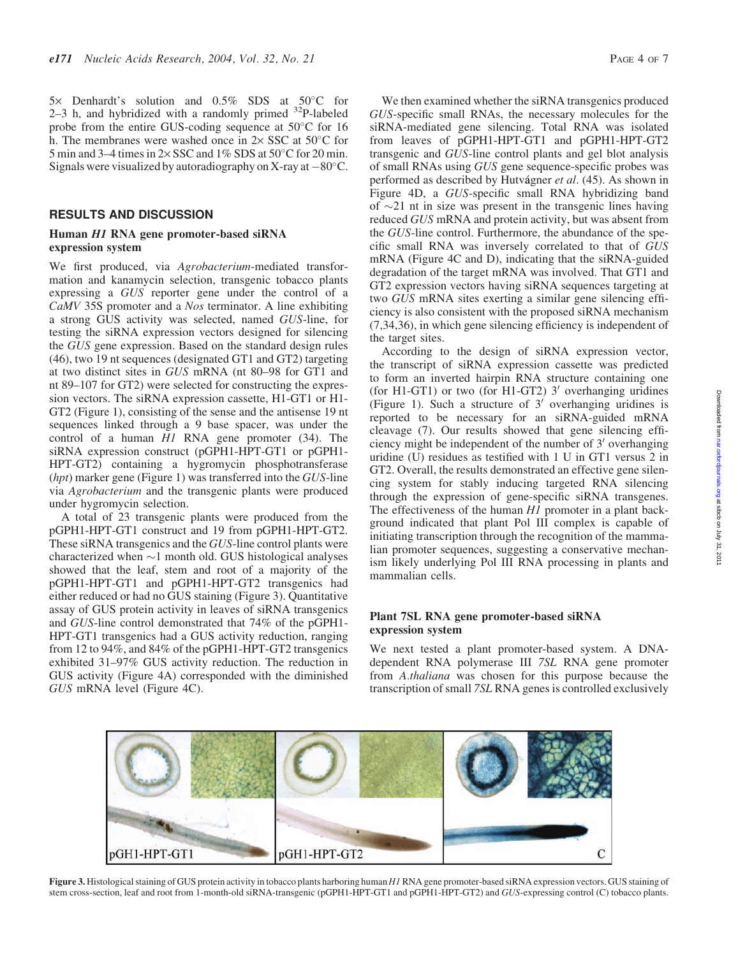$5\times$  Denhardt's solution and  $0.5\%$  SDS at  $50^{\circ}$ C for 2–3 h, and hybridized with a randomly primed  $32P$ -labeled probe from the entire GUS-coding sequence at  $50^{\circ}$ C for 16 h. The membranes were washed once in  $2 \times$  SSC at  $50^{\circ}$ C for 5 min and 3–4 times in  $2 \times$  SSC and  $1\%$  SDS at  $50^{\circ}$ C for 20 min. Signals were visualized by autoradiography on X-ray at  $-80^{\circ}$ C.

#### RESULTS AND DISCUSSION

#### Human H1 RNA gene promoter-based siRNA expression system

We first produced, via *Agrobacterium*-mediated transformation and kanamycin selection, transgenic tobacco plants expressing a GUS reporter gene under the control of a CaMV 35S promoter and a Nos terminator. A line exhibiting a strong GUS activity was selected, named GUS-line, for testing the siRNA expression vectors designed for silencing the GUS gene expression. Based on the standard design rules (46), two 19 nt sequences (designated GT1 and GT2) targeting at two distinct sites in GUS mRNA (nt 80–98 for GT1 and nt 89–107 for GT2) were selected for constructing the expression vectors. The siRNA expression cassette, H1-GT1 or H1- GT2 (Figure 1), consisting of the sense and the antisense 19 nt sequences linked through a 9 base spacer, was under the control of a human  $\overline{H}$  RNA gene promoter (34). The siRNA expression construct (pGPH1-HPT-GT1 or pGPH1- HPT-GT2) containing a hygromycin phosphotransferase  $(hpt)$  marker gene (Figure 1) was transferred into the GUS-line via Agrobacterium and the transgenic plants were produced under hygromycin selection.

A total of 23 transgenic plants were produced from the pGPH1-HPT-GT1 construct and 19 from pGPH1-HPT-GT2. These siRNA transgenics and the GUS-line control plants were characterized when  $\sim$ 1 month old. GUS histological analyses showed that the leaf, stem and root of a majority of the pGPH1-HPT-GT1 and pGPH1-HPT-GT2 transgenics had either reduced or had no GUS staining (Figure 3). Quantitative assay of GUS protein activity in leaves of siRNA transgenics and GUS-line control demonstrated that 74% of the pGPH1- HPT-GT1 transgenics had a GUS activity reduction, ranging from 12 to 94%, and 84% of the pGPH1-HPT-GT2 transgenics exhibited 31–97% GUS activity reduction. The reduction in GUS activity (Figure 4A) corresponded with the diminished GUS mRNA level (Figure 4C).

We then examined whether the siRNA transgenics produced GUS-specific small RNAs, the necessary molecules for the siRNA-mediated gene silencing. Total RNA was isolated from leaves of pGPH1-HPT-GT1 and pGPH1-HPT-GT2 transgenic and GUS-line control plants and gel blot analysis of small RNAs using GUS gene sequence-specific probes was performed as described by Hutvágner et al. (45). As shown in Figure 4D, a GUS-specific small RNA hybridizing band of  $\sim$ 21 nt in size was present in the transgenic lines having reduced GUS mRNA and protein activity, but was absent from the GUS-line control. Furthermore, the abundance of the specific small RNA was inversely correlated to that of GUS mRNA (Figure 4C and D), indicating that the siRNA-guided degradation of the target mRNA was involved. That GT1 and GT2 expression vectors having siRNA sequences targeting at two GUS mRNA sites exerting a similar gene silencing efficiency is also consistent with the proposed siRNA mechanism (7,34,36), in which gene silencing efficiency is independent of the target sites.

According to the design of siRNA expression vector, the transcript of siRNA expression cassette was predicted to form an inverted hairpin RNA structure containing one (for H1-GT1) or two (for H1-GT2)  $3'$  overhanging uridines (Figure 1). Such a structure of  $3'$  overhanging uridines is reported to be necessary for an siRNA-guided mRNA cleavage (7). Our results showed that gene silencing efficiency might be independent of the number of  $3'$  overhanging uridine (U) residues as testified with 1 U in GT1 versus 2 in GT2. Overall, the results demonstrated an effective gene silencing system for stably inducing targeted RNA silencing through the expression of gene-specific siRNA transgenes. The effectiveness of the human H1 promoter in a plant background indicated that plant Pol III complex is capable of initiating transcription through the recognition of the mammalian promoter sequences, suggesting a conservative mechanism likely underlying Pol III RNA processing in plants and mammalian cells.

# Plant 7SL RNA gene promoter-based siRNA expression system

We next tested a plant promoter-based system. A DNAdependent RNA polymerase III 7SL RNA gene promoter from A.thaliana was chosen for this purpose because the transcription of small 7SL RNA genes is controlled exclusively



Figure 3. Histological staining of GUS protein activity in tobacco plants harboring human H1 RNA gene promoter-based siRNA expression vectors. GUS staining of stem cross-section, leaf and root from 1-month-old siRNA-transgenic (pGPH1-HPT-GT1 and pGPH1-HPT-GT2) and GUS-expressing control (C) tobacco plants.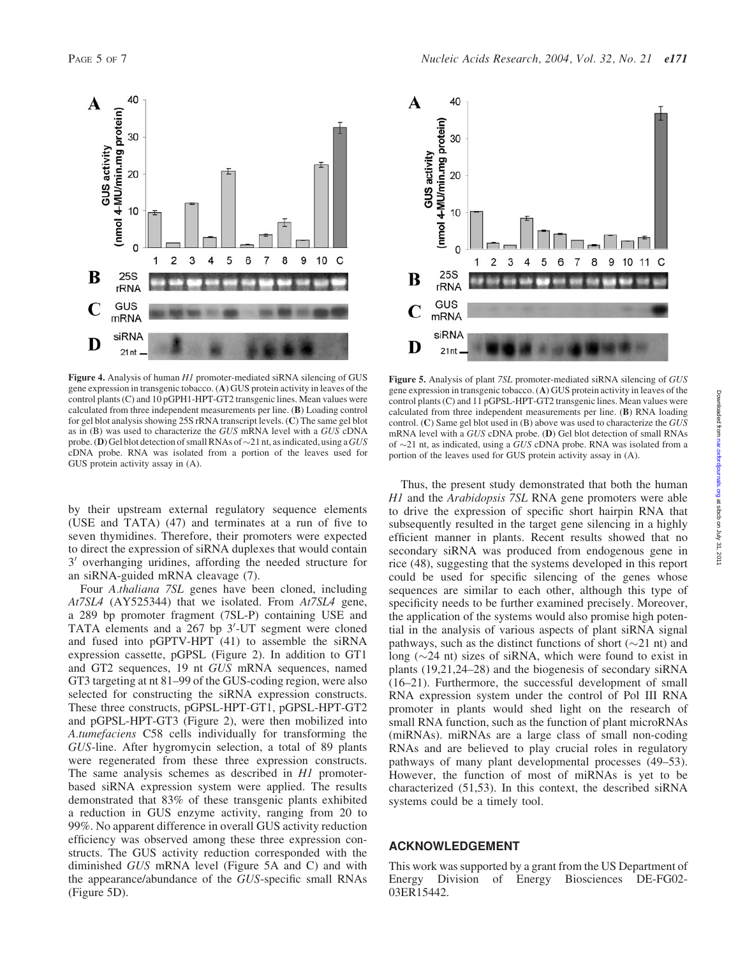

Figure 4. Analysis of human H1 promoter-mediated siRNA silencing of GUS gene expression in transgenic tobacco. (A) GUS protein activity in leaves of the control plants (C) and 10 pGPH1-HPT-GT2 transgenic lines. Mean values were calculated from three independent measurements per line. (B) Loading control for gel blot analysis showing 25S rRNA transcript levels. (C) The same gel blot as in (B) was used to characterize the GUS mRNA level with a GUS cDNA probe. (D) Gel blot detection of small RNAs of  $\sim$ 21 nt, as indicated, using a GUS cDNA probe. RNA was isolated from a portion of the leaves used for GUS protein activity assay in (A).

by their upstream external regulatory sequence elements (USE and TATA) (47) and terminates at a run of five to seven thymidines. Therefore, their promoters were expected to direct the expression of siRNA duplexes that would contain  $3'$  overhanging uridines, affording the needed structure for an siRNA-guided mRNA cleavage (7).

Four A.thaliana 7SL genes have been cloned, including At7SL4 (AY525344) that we isolated. From At7SL4 gene, a 289 bp promoter fragment (7SL-P) containing USE and TATA elements and a  $267$  bp  $3'$ -UT segment were cloned and fused into pGPTV-HPT (41) to assemble the siRNA expression cassette, pGPSL (Figure 2). In addition to GT1 and GT2 sequences, 19 nt GUS mRNA sequences, named GT3 targeting at nt 81–99 of the GUS-coding region, were also selected for constructing the siRNA expression constructs. These three constructs, pGPSL-HPT-GT1, pGPSL-HPT-GT2 and pGPSL-HPT-GT3 (Figure 2), were then mobilized into A.tumefaciens C58 cells individually for transforming the GUS-line. After hygromycin selection, a total of 89 plants were regenerated from these three expression constructs. The same analysis schemes as described in H1 promoterbased siRNA expression system were applied. The results demonstrated that 83% of these transgenic plants exhibited a reduction in GUS enzyme activity, ranging from 20 to 99%. No apparent difference in overall GUS activity reduction efficiency was observed among these three expression constructs. The GUS activity reduction corresponded with the diminished GUS mRNA level (Figure 5A and C) and with the appearance/abundance of the GUS-specific small RNAs (Figure 5D).



Figure 5. Analysis of plant 7SL promoter-mediated siRNA silencing of GUS gene expression in transgenic tobacco. (A) GUS protein activity in leaves of the control plants (C) and 11 pGPSL-HPT-GT2 transgenic lines. Mean values were calculated from three independent measurements per line. (B) RNA loading control. (C) Same gel blot used in (B) above was used to characterize the GUS mRNA level with a GUS cDNA probe. (D) Gel blot detection of small RNAs of  $\sim$ 21 nt, as indicated, using a GUS cDNA probe. RNA was isolated from a portion of the leaves used for GUS protein activity assay in (A).

Thus, the present study demonstrated that both the human H1 and the Arabidopsis 7SL RNA gene promoters were able to drive the expression of specific short hairpin RNA that subsequently resulted in the target gene silencing in a highly efficient manner in plants. Recent results showed that no secondary siRNA was produced from endogenous gene in rice (48), suggesting that the systems developed in this report could be used for specific silencing of the genes whose sequences are similar to each other, although this type of specificity needs to be further examined precisely. Moreover, the application of the systems would also promise high potential in the analysis of various aspects of plant siRNA signal pathways, such as the distinct functions of short  $(\sim 21 \text{ nt})$  and long  $(\sim 24$  nt) sizes of siRNA, which were found to exist in plants (19,21,24–28) and the biogenesis of secondary siRNA (16–21). Furthermore, the successful development of small RNA expression system under the control of Pol III RNA promoter in plants would shed light on the research of small RNA function, such as the function of plant microRNAs (miRNAs). miRNAs are a large class of small non-coding RNAs and are believed to play crucial roles in regulatory pathways of many plant developmental processes (49–53). However, the function of most of miRNAs is yet to be characterized (51,53). In this context, the described siRNA systems could be a timely tool.

## ACKNOWLEDGEMENT

This work was supported by a grant from the US Department of Energy Division of Energy Biosciences DE-FG02- 03ER15442.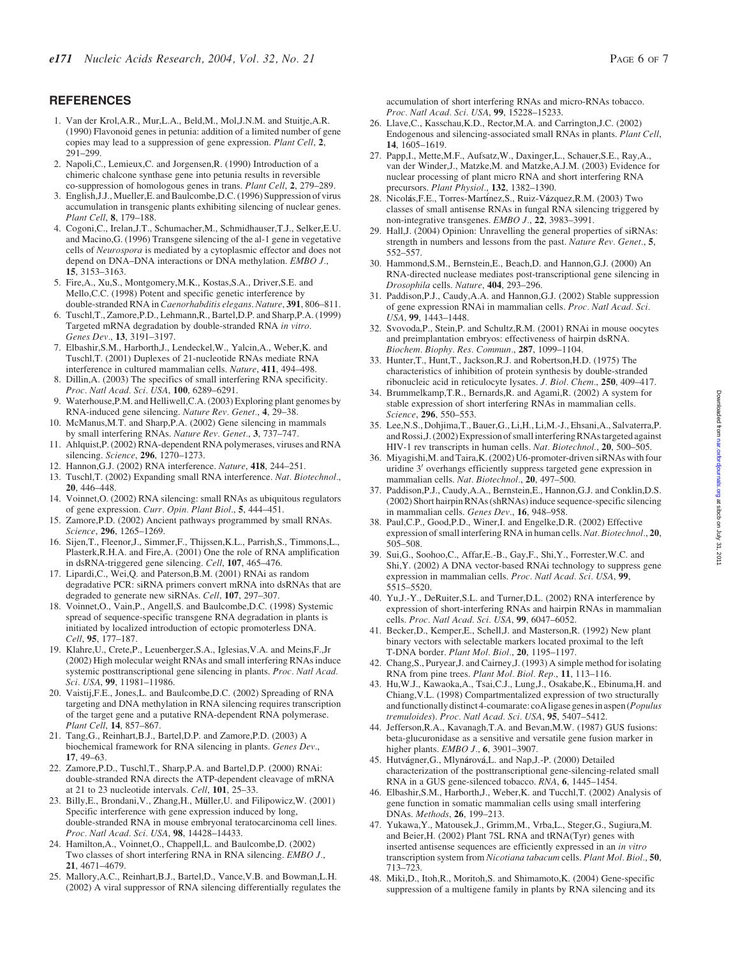# **REFERENCES**

- 1. Van der Krol,A.R., Mur,L.A., Beld,M., Mol,J.N.M. and Stuitje,A.R. (1990) Flavonoid genes in petunia: addition of a limited number of gene copies may lead to a suppression of gene expression. Plant Cell, 2, 291–299.
- 2. Napoli,C., Lemieux,C. and Jorgensen,R. (1990) Introduction of a chimeric chalcone synthase gene into petunia results in reversible co-suppression of homologous genes in trans. Plant Cell, 2, 279–289.
- 3. English,J.J., Mueller,E. and Baulcombe,D.C. (1996) Suppression of virus accumulation in transgenic plants exhibiting silencing of nuclear genes. Plant Cell, 8, 179–188.
- 4. Cogoni,C., Irelan,J.T., Schumacher,M., Schmidhauser,T.J., Selker,E.U. and Macino,G. (1996) Transgene silencing of the al-1 gene in vegetative cells of Neurospora is mediated by a cytoplasmic effector and does not depend on DNA–DNA interactions or DNA methylation. EMBO J., 15, 3153–3163.
- 5. Fire,A., Xu,S., Montgomery,M.K., Kostas,S.A., Driver,S.E. and Mello,C.C. (1998) Potent and specific genetic interference by double-stranded RNA in Caenorhabditis elegans. Nature, 391, 806-811.
- 6. Tuschl,T., Zamore,P.D., Lehmann,R., Bartel,D.P. and Sharp,P.A. (1999) Targeted mRNA degradation by double-stranded RNA in vitro. Genes Dev., 13, 3191–3197.
- 7. Elbashir,S.M., Harborth,J., Lendeckel,W., Yalcin,A., Weber,K. and Tuschl,T. (2001) Duplexes of 21-nucleotide RNAs mediate RNA interference in cultured mammalian cells. Nature, 411, 494–498.
- 8. Dillin,A. (2003) The specifics of small interfering RNA specificity. Proc. Natl Acad. Sci. USA, 100, 6289-6291.
- 9. Waterhouse,P.M. and Helliwell,C.A. (2003) Exploring plant genomes by RNA-induced gene silencing. Nature Rev. Genet., 4, 29–38.
- 10. McManus,M.T. and Sharp,P.A. (2002) Gene silencing in mammals by small interfering RNAs. Nature Rev. Genet., 3, 737–747.
- 11. Ahlquist,P. (2002) RNA-dependent RNA polymerases, viruses and RNA silencing. Science, 296, 1270-1273.
- 12. Hannon,G.J. (2002) RNA interference. Nature, 418, 244–251.
- 13. Tuschl,T. (2002) Expanding small RNA interference. Nat. Biotechnol., 20, 446–448.
- 14. Voinnet,O. (2002) RNA silencing: small RNAs as ubiquitous regulators of gene expression. Curr. Opin. Plant Biol., 5, 444–451.
- 15. Zamore,P.D. (2002) Ancient pathways programmed by small RNAs. Science, 296, 1265–1269.
- 16. Sijen,T., Fleenor,J., Simmer,F., Thijssen,K.L., Parrish,S., Timmons,L., Plasterk,R.H.A. and Fire,A. (2001) One the role of RNA amplification in dsRNA-triggered gene silencing. Cell, 107, 465–476.
- 17. Lipardi,C., Wei,Q. and Paterson,B.M. (2001) RNAi as random degradative PCR: siRNA primers convert mRNA into dsRNAs that are degraded to generate new siRNAs. Cell, 107, 297–307.
- 18. Voinnet,O., Vain,P., Angell,S. and Baulcombe,D.C. (1998) Systemic spread of sequence-specific transgene RNA degradation in plants is initiated by localized introduction of ectopic promoterless DNA. Cell, 95, 177–187.
- 19. Klahre,U., Crete,P., Leuenberger,S.A., Iglesias,V.A. and Meins,F.,Jr (2002) High molecular weight RNAs and small interfering RNAs induce systemic posttranscriptional gene silencing in plants. Proc. Natl Acad. Sci. USA, 99, 11981–11986.
- 20. Vaistij,F.E., Jones,L. and Baulcombe,D.C. (2002) Spreading of RNA targeting and DNA methylation in RNA silencing requires transcription of the target gene and a putative RNA-dependent RNA polymerase. Plant Cell, 14, 857–867.
- 21. Tang,G., Reinhart,B.J., Bartel,D.P. and Zamore,P.D. (2003) A biochemical framework for RNA silencing in plants. Genes Dev., 17, 49–63.
- 22. Zamore,P.D., Tuschl,T., Sharp,P.A. and Bartel,D.P. (2000) RNAi: double-stranded RNA directs the ATP-dependent cleavage of mRNA at 21 to 23 nucleotide intervals. Cell, 101, 25–33.
- 23. Billy, E., Brondani, V., Zhang, H., Müller, U. and Filipowicz, W. (2001) Specific interference with gene expression induced by long, double-stranded RNA in mouse embryonal teratocarcinoma cell lines. Proc. Natl Acad. Sci. USA, 98, 14428-14433.
- 24. Hamilton,A., Voinnet,O., Chappell,L. and Baulcombe,D. (2002) Two classes of short interfering RNA in RNA silencing. EMBO J., 21, 4671–4679.
- 25. Mallory,A.C., Reinhart,B.J., Bartel,D., Vance,V.B. and Bowman,L.H. (2002) A viral suppressor of RNA silencing differentially regulates the
- 26. Llave,C., Kasschau,K.D., Rector,M.A. and Carrington,J.C. (2002) Endogenous and silencing-associated small RNAs in plants. Plant Cell, 14, 1605–1619.
- 27. Papp,I., Mette,M.F., Aufsatz,W., Daxinger,L., Schauer,S.E., Ray,A., van der Winder,J., Matzke,M. and Matzke,A.J.M. (2003) Evidence for nuclear processing of plant micro RNA and short interfering RNA precursors. Plant Physiol., 132, 1382–1390.
- 28. Nicolas,F.E., Torres-Martinez,S., Ruiz-Vazquez,R.M. (2003) Two classes of small antisense RNAs in fungal RNA silencing triggered by non-integrative transgenes. EMBO J., 22, 3983–3991.
- 29. Hall,J. (2004) Opinion: Unravelling the general properties of siRNAs: strength in numbers and lessons from the past. Nature Rev. Genet., 5, 552–557.
- 30. Hammond,S.M., Bernstein,E., Beach,D. and Hannon,G.J. (2000) An RNA-directed nuclease mediates post-transcriptional gene silencing in Drosophila cells. Nature, 404, 293–296.
- 31. Paddison,P.J., Caudy,A.A. and Hannon,G.J. (2002) Stable suppression of gene expression RNAi in mammalian cells. Proc. Natl Acad. Sci. USA, 99, 1443–1448.
- 32. Svovoda,P., Stein,P. and Schultz,R.M. (2001) RNAi in mouse oocytes and preimplantation embryos: effectiveness of hairpin dsRNA. Biochem. Biophy. Res. Commun., 287, 1099–1104.
- 33. Hunter,T., Hunt,T., Jackson,R.J. and Robertson,H.D. (1975) The characteristics of inhibition of protein synthesis by double-stranded ribonucleic acid in reticulocyte lysates. J. Biol. Chem., 250, 409–417.
- 34. Brummelkamp,T.R., Bernards,R. and Agami,R. (2002) A system for stable expression of short interfering RNAs in mammalian cells. Science, 296, 550–553.
- 35. Lee,N.S., Dohjima,T., Bauer,G., Li,H., Li,M.-J., Ehsani,A., Salvaterra,P. and Rossi,J. (2002) Expression of small interferingRNAs targeted against HIV-1 rev transcripts in human cells. Nat. Biotechnol., 20, 500–505.
- 36. Miyagishi,M. and Taira,K. (2002) U6-promoter-driven siRNAs with four uridine 3' overhangs efficiently suppress targeted gene expression in mammalian cells. Nat. Biotechnol., 20, 497–500.
- 37. Paddison,P.J., Caudy,A.A., Bernstein,E., Hannon,G.J. and Conklin,D.S. (2002) Short hairpin RNAs (shRNAs) induce sequence-specific silencing in mammalian cells. Genes Dev., 16, 948-958.
- 38. Paul,C.P., Good,P.D., Winer,I. and Engelke,D.R. (2002) Effective expression of small interfering RNA in human cells. Nat. Biotechnol., 20, 505–508.
- 39. Sui,G., Soohoo,C., Affar,E.-B., Gay,F., Shi,Y., Forrester,W.C. and Shi,Y. (2002) A DNA vector-based RNAi technology to suppress gene expression in mammalian cells. Proc. Natl Acad. Sci. USA, 99, 5515–5520.
- 40. Yu,J.-Y., DeRuiter,S.L. and Turner,D.L. (2002) RNA interference by expression of short-interfering RNAs and hairpin RNAs in mammalian cells. Proc. Natl Acad. Sci. USA, 99, 6047–6052.
- 41. Becker,D., Kemper,E., Schell,J. and Masterson,R. (1992) New plant binary vectors with selectable markers located proximal to the left T-DNA border. Plant Mol. Biol., 20, 1195–1197.
- 42. Chang,S., Puryear,J. and Cairney,J. (1993) A simple method for isolating RNA from pine trees. Plant Mol. Biol. Rep., 11, 113–116.
- 43. Hu,W.J., Kawaoka,A., Tsai,C.J., Lung,J., Osakabe,K., Ebinuma,H. and Chiang,V.L. (1998) Compartmentalized expression of two structurally and functionally distinct 4-coumarate: coA ligase genes in aspen (Populus tremuloides). Proc. Natl Acad. Sci. USA, 95, 5407-5412.
- 44. Jefferson,R.A., Kavanagh,T.A. and Bevan,M.W. (1987) GUS fusions: beta-glucuronidase as a sensitive and versatile gene fusion marker in higher plants. EMBO J., 6, 3901–3907.
- 45. Hutvagner,G., Mlynarova,L. and Nap,J.-P. (2000) Detailed characterization of the posttranscriptional gene-silencing-related small RNA in a GUS gene-silenced tobacco. RNA, 6, 1445–1454.
- 46. Elbashir,S.M., Harborth,J., Weber,K. and Tucchl,T. (2002) Analysis of gene function in somatic mammalian cells using small interfering DNAs. Methods, 26, 199–213.
- 47. Yukawa,Y., Matousek,J., Grimm,M., Vrba,L., Steger,G., Sugiura,M. and Beier,H. (2002) Plant 7SL RNA and tRNA(Tyr) genes with inserted antisense sequences are efficiently expressed in an in vitro transcription system from Nicotiana tabacum cells. Plant Mol. Biol., 50, 713–723.
- 48. Miki,D., Itoh,R., Moritoh,S. and Shimamoto,K. (2004) Gene-specific suppression of a multigene family in plants by RNA silencing and its